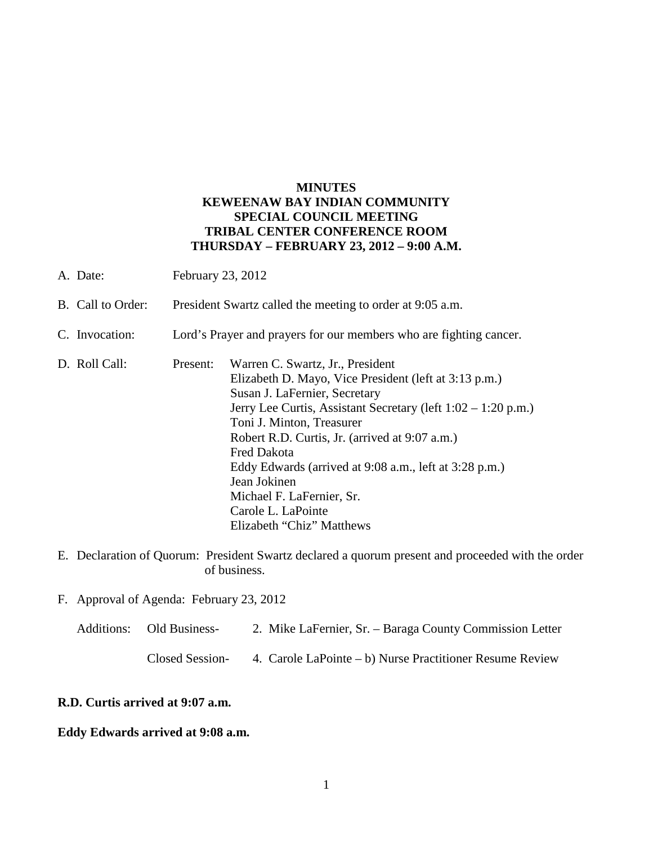# **MINUTES KEWEENAW BAY INDIAN COMMUNITY SPECIAL COUNCIL MEETING TRIBAL CENTER CONFERENCE ROOM THURSDAY – FEBRUARY 23, 2012 – 9:00 A.M.**

- A. Date: February 23, 2012
- B. Call to Order: President Swartz called the meeting to order at 9:05 a.m.
- C. Invocation: Lord's Prayer and prayers for our members who are fighting cancer.
- D. Roll Call: Present: Warren C. Swartz, Jr., President Elizabeth D. Mayo, Vice President (left at 3:13 p.m.) Susan J. LaFernier, Secretary Jerry Lee Curtis, Assistant Secretary (left 1:02 – 1:20 p.m.) Toni J. Minton, Treasurer Robert R.D. Curtis, Jr. (arrived at 9:07 a.m.) Fred Dakota Eddy Edwards (arrived at 9:08 a.m., left at 3:28 p.m.) Jean Jokinen Michael F. LaFernier, Sr. Carole L. LaPointe Elizabeth "Chiz" Matthews
- E. Declaration of Quorum: President Swartz declared a quorum present and proceeded with the order of business.
- F. Approval of Agenda: February 23, 2012
	- Additions: Old Business- 2. Mike LaFernier, Sr. Baraga County Commission Letter Closed Session- 4. Carole LaPointe – b) Nurse Practitioner Resume Review

#### **R.D. Curtis arrived at 9:07 a.m.**

#### **Eddy Edwards arrived at 9:08 a.m.**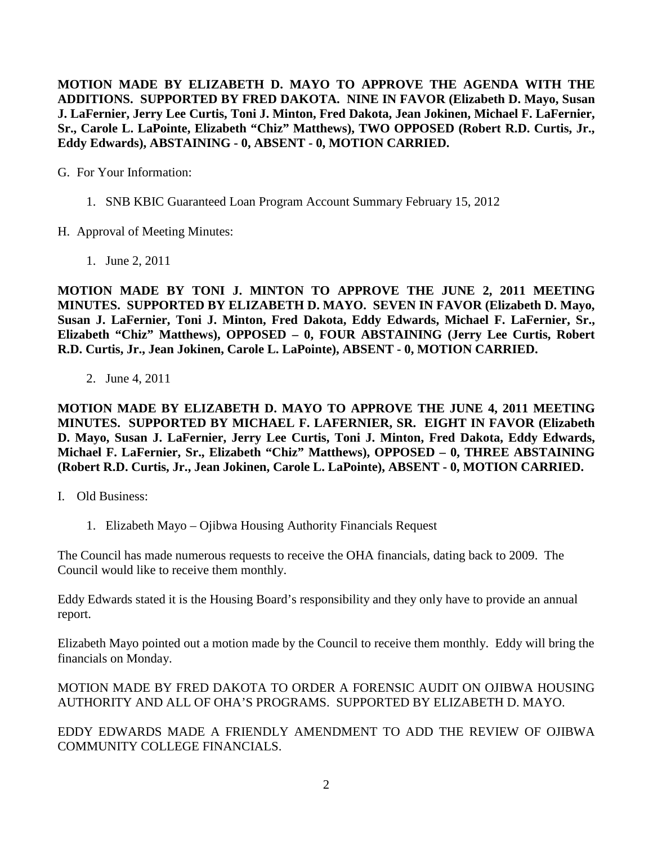**MOTION MADE BY ELIZABETH D. MAYO TO APPROVE THE AGENDA WITH THE ADDITIONS. SUPPORTED BY FRED DAKOTA. NINE IN FAVOR (Elizabeth D. Mayo, Susan J. LaFernier, Jerry Lee Curtis, Toni J. Minton, Fred Dakota, Jean Jokinen, Michael F. LaFernier, Sr., Carole L. LaPointe, Elizabeth "Chiz" Matthews), TWO OPPOSED (Robert R.D. Curtis, Jr., Eddy Edwards), ABSTAINING - 0, ABSENT - 0, MOTION CARRIED.**

G. For Your Information:

- 1. SNB KBIC Guaranteed Loan Program Account Summary February 15, 2012
- H. Approval of Meeting Minutes:
	- 1. June 2, 2011

**MOTION MADE BY TONI J. MINTON TO APPROVE THE JUNE 2, 2011 MEETING MINUTES. SUPPORTED BY ELIZABETH D. MAYO. SEVEN IN FAVOR (Elizabeth D. Mayo, Susan J. LaFernier, Toni J. Minton, Fred Dakota, Eddy Edwards, Michael F. LaFernier, Sr., Elizabeth "Chiz" Matthews), OPPOSED – 0, FOUR ABSTAINING (Jerry Lee Curtis, Robert R.D. Curtis, Jr., Jean Jokinen, Carole L. LaPointe), ABSENT - 0, MOTION CARRIED.**

2. June 4, 2011

**MOTION MADE BY ELIZABETH D. MAYO TO APPROVE THE JUNE 4, 2011 MEETING MINUTES. SUPPORTED BY MICHAEL F. LAFERNIER, SR. EIGHT IN FAVOR (Elizabeth D. Mayo, Susan J. LaFernier, Jerry Lee Curtis, Toni J. Minton, Fred Dakota, Eddy Edwards, Michael F. LaFernier, Sr., Elizabeth "Chiz" Matthews), OPPOSED – 0, THREE ABSTAINING (Robert R.D. Curtis, Jr., Jean Jokinen, Carole L. LaPointe), ABSENT - 0, MOTION CARRIED.**

- I. Old Business:
	- 1. Elizabeth Mayo Ojibwa Housing Authority Financials Request

The Council has made numerous requests to receive the OHA financials, dating back to 2009. The Council would like to receive them monthly.

Eddy Edwards stated it is the Housing Board's responsibility and they only have to provide an annual report.

Elizabeth Mayo pointed out a motion made by the Council to receive them monthly. Eddy will bring the financials on Monday.

MOTION MADE BY FRED DAKOTA TO ORDER A FORENSIC AUDIT ON OJIBWA HOUSING AUTHORITY AND ALL OF OHA'S PROGRAMS. SUPPORTED BY ELIZABETH D. MAYO.

EDDY EDWARDS MADE A FRIENDLY AMENDMENT TO ADD THE REVIEW OF OJIBWA COMMUNITY COLLEGE FINANCIALS.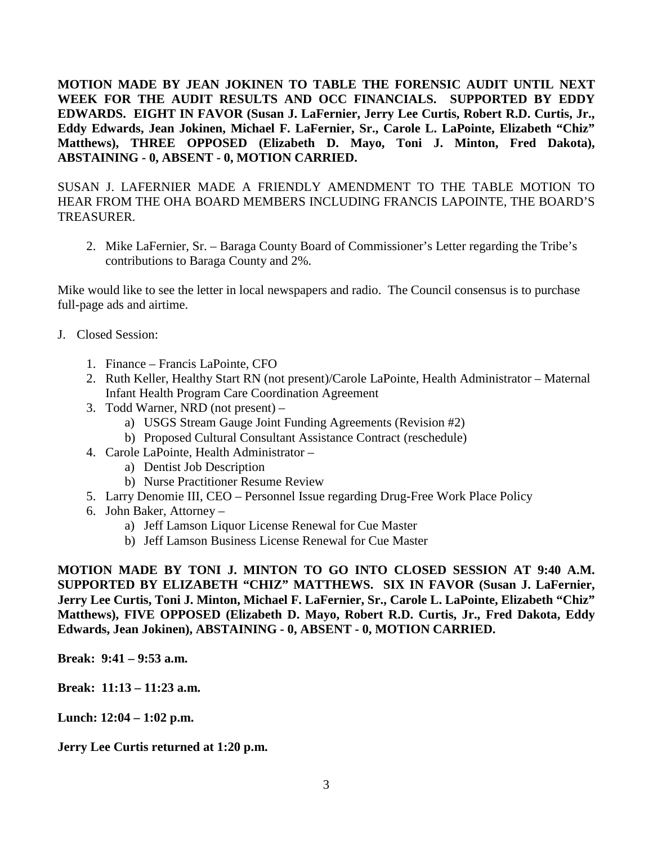**MOTION MADE BY JEAN JOKINEN TO TABLE THE FORENSIC AUDIT UNTIL NEXT WEEK FOR THE AUDIT RESULTS AND OCC FINANCIALS. SUPPORTED BY EDDY EDWARDS. EIGHT IN FAVOR (Susan J. LaFernier, Jerry Lee Curtis, Robert R.D. Curtis, Jr., Eddy Edwards, Jean Jokinen, Michael F. LaFernier, Sr., Carole L. LaPointe, Elizabeth "Chiz" Matthews), THREE OPPOSED (Elizabeth D. Mayo, Toni J. Minton, Fred Dakota), ABSTAINING - 0, ABSENT - 0, MOTION CARRIED.**

SUSAN J. LAFERNIER MADE A FRIENDLY AMENDMENT TO THE TABLE MOTION TO HEAR FROM THE OHA BOARD MEMBERS INCLUDING FRANCIS LAPOINTE, THE BOARD'S TREASURER.

2. Mike LaFernier, Sr. – Baraga County Board of Commissioner's Letter regarding the Tribe's contributions to Baraga County and 2%.

Mike would like to see the letter in local newspapers and radio. The Council consensus is to purchase full-page ads and airtime.

- J. Closed Session:
	- 1. Finance Francis LaPointe, CFO
	- 2. Ruth Keller, Healthy Start RN (not present)/Carole LaPointe, Health Administrator Maternal Infant Health Program Care Coordination Agreement
	- 3. Todd Warner, NRD (not present)
		- a) USGS Stream Gauge Joint Funding Agreements (Revision #2)
		- b) Proposed Cultural Consultant Assistance Contract (reschedule)
	- 4. Carole LaPointe, Health Administrator
		- a) Dentist Job Description
		- b) Nurse Practitioner Resume Review
	- 5. Larry Denomie III, CEO Personnel Issue regarding Drug-Free Work Place Policy
	- 6. John Baker, Attorney
		- a) Jeff Lamson Liquor License Renewal for Cue Master
		- b) Jeff Lamson Business License Renewal for Cue Master

**MOTION MADE BY TONI J. MINTON TO GO INTO CLOSED SESSION AT 9:40 A.M. SUPPORTED BY ELIZABETH "CHIZ" MATTHEWS. SIX IN FAVOR (Susan J. LaFernier, Jerry Lee Curtis, Toni J. Minton, Michael F. LaFernier, Sr., Carole L. LaPointe, Elizabeth "Chiz" Matthews), FIVE OPPOSED (Elizabeth D. Mayo, Robert R.D. Curtis, Jr., Fred Dakota, Eddy Edwards, Jean Jokinen), ABSTAINING - 0, ABSENT - 0, MOTION CARRIED.**

**Break: 9:41 – 9:53 a.m.** 

**Break: 11:13 – 11:23 a.m.** 

**Lunch: 12:04 – 1:02 p.m.**

**Jerry Lee Curtis returned at 1:20 p.m.**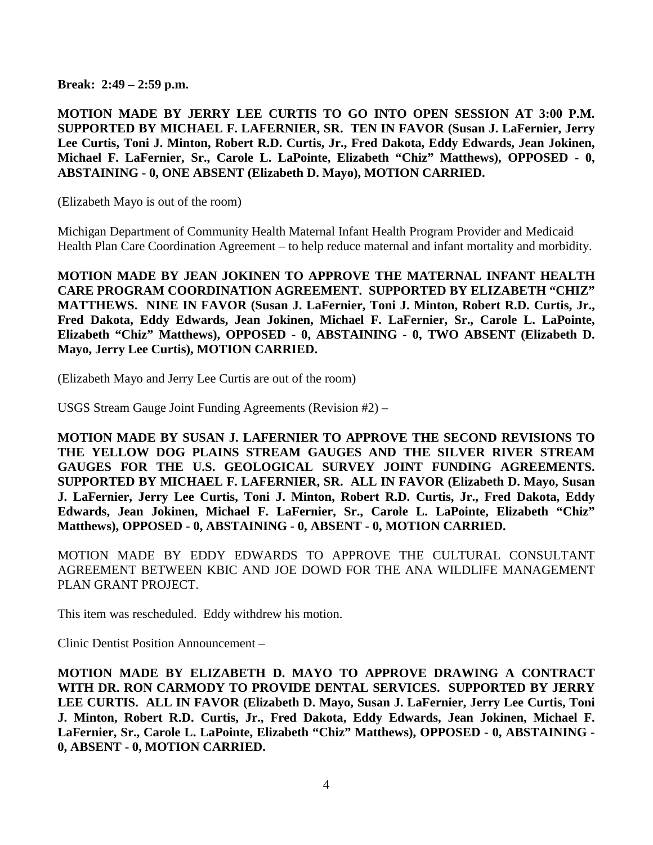**Break: 2:49 – 2:59 p.m.** 

**MOTION MADE BY JERRY LEE CURTIS TO GO INTO OPEN SESSION AT 3:00 P.M. SUPPORTED BY MICHAEL F. LAFERNIER, SR. TEN IN FAVOR (Susan J. LaFernier, Jerry Lee Curtis, Toni J. Minton, Robert R.D. Curtis, Jr., Fred Dakota, Eddy Edwards, Jean Jokinen, Michael F. LaFernier, Sr., Carole L. LaPointe, Elizabeth "Chiz" Matthews), OPPOSED - 0, ABSTAINING - 0, ONE ABSENT (Elizabeth D. Mayo), MOTION CARRIED.**

(Elizabeth Mayo is out of the room)

Michigan Department of Community Health Maternal Infant Health Program Provider and Medicaid Health Plan Care Coordination Agreement – to help reduce maternal and infant mortality and morbidity.

**MOTION MADE BY JEAN JOKINEN TO APPROVE THE MATERNAL INFANT HEALTH CARE PROGRAM COORDINATION AGREEMENT. SUPPORTED BY ELIZABETH "CHIZ" MATTHEWS. NINE IN FAVOR (Susan J. LaFernier, Toni J. Minton, Robert R.D. Curtis, Jr., Fred Dakota, Eddy Edwards, Jean Jokinen, Michael F. LaFernier, Sr., Carole L. LaPointe, Elizabeth "Chiz" Matthews), OPPOSED - 0, ABSTAINING - 0, TWO ABSENT (Elizabeth D. Mayo, Jerry Lee Curtis), MOTION CARRIED.**

(Elizabeth Mayo and Jerry Lee Curtis are out of the room)

USGS Stream Gauge Joint Funding Agreements (Revision #2) –

**MOTION MADE BY SUSAN J. LAFERNIER TO APPROVE THE SECOND REVISIONS TO THE YELLOW DOG PLAINS STREAM GAUGES AND THE SILVER RIVER STREAM GAUGES FOR THE U.S. GEOLOGICAL SURVEY JOINT FUNDING AGREEMENTS. SUPPORTED BY MICHAEL F. LAFERNIER, SR. ALL IN FAVOR (Elizabeth D. Mayo, Susan J. LaFernier, Jerry Lee Curtis, Toni J. Minton, Robert R.D. Curtis, Jr., Fred Dakota, Eddy Edwards, Jean Jokinen, Michael F. LaFernier, Sr., Carole L. LaPointe, Elizabeth "Chiz" Matthews), OPPOSED - 0, ABSTAINING - 0, ABSENT - 0, MOTION CARRIED.**

MOTION MADE BY EDDY EDWARDS TO APPROVE THE CULTURAL CONSULTANT AGREEMENT BETWEEN KBIC AND JOE DOWD FOR THE ANA WILDLIFE MANAGEMENT PLAN GRANT PROJECT.

This item was rescheduled. Eddy withdrew his motion.

Clinic Dentist Position Announcement –

**MOTION MADE BY ELIZABETH D. MAYO TO APPROVE DRAWING A CONTRACT WITH DR. RON CARMODY TO PROVIDE DENTAL SERVICES. SUPPORTED BY JERRY LEE CURTIS. ALL IN FAVOR (Elizabeth D. Mayo, Susan J. LaFernier, Jerry Lee Curtis, Toni J. Minton, Robert R.D. Curtis, Jr., Fred Dakota, Eddy Edwards, Jean Jokinen, Michael F. LaFernier, Sr., Carole L. LaPointe, Elizabeth "Chiz" Matthews), OPPOSED - 0, ABSTAINING - 0, ABSENT - 0, MOTION CARRIED.**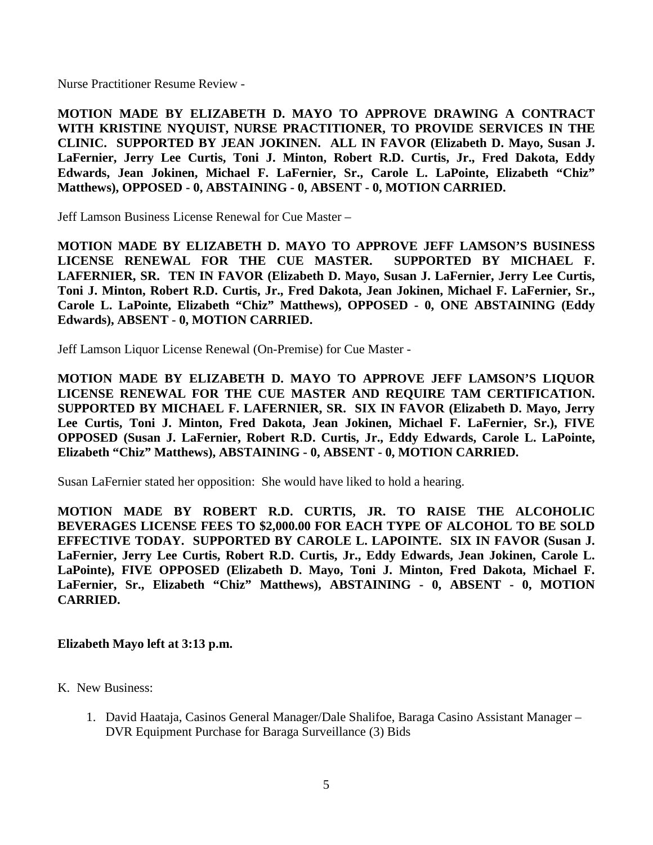Nurse Practitioner Resume Review -

**MOTION MADE BY ELIZABETH D. MAYO TO APPROVE DRAWING A CONTRACT WITH KRISTINE NYQUIST, NURSE PRACTITIONER, TO PROVIDE SERVICES IN THE CLINIC. SUPPORTED BY JEAN JOKINEN. ALL IN FAVOR (Elizabeth D. Mayo, Susan J. LaFernier, Jerry Lee Curtis, Toni J. Minton, Robert R.D. Curtis, Jr., Fred Dakota, Eddy Edwards, Jean Jokinen, Michael F. LaFernier, Sr., Carole L. LaPointe, Elizabeth "Chiz" Matthews), OPPOSED - 0, ABSTAINING - 0, ABSENT - 0, MOTION CARRIED.**

Jeff Lamson Business License Renewal for Cue Master –

**MOTION MADE BY ELIZABETH D. MAYO TO APPROVE JEFF LAMSON'S BUSINESS LICENSE RENEWAL FOR THE CUE MASTER. SUPPORTED BY MICHAEL F. LAFERNIER, SR. TEN IN FAVOR (Elizabeth D. Mayo, Susan J. LaFernier, Jerry Lee Curtis, Toni J. Minton, Robert R.D. Curtis, Jr., Fred Dakota, Jean Jokinen, Michael F. LaFernier, Sr., Carole L. LaPointe, Elizabeth "Chiz" Matthews), OPPOSED - 0, ONE ABSTAINING (Eddy Edwards), ABSENT - 0, MOTION CARRIED.**

Jeff Lamson Liquor License Renewal (On-Premise) for Cue Master -

**MOTION MADE BY ELIZABETH D. MAYO TO APPROVE JEFF LAMSON'S LIQUOR LICENSE RENEWAL FOR THE CUE MASTER AND REQUIRE TAM CERTIFICATION. SUPPORTED BY MICHAEL F. LAFERNIER, SR. SIX IN FAVOR (Elizabeth D. Mayo, Jerry Lee Curtis, Toni J. Minton, Fred Dakota, Jean Jokinen, Michael F. LaFernier, Sr.), FIVE OPPOSED (Susan J. LaFernier, Robert R.D. Curtis, Jr., Eddy Edwards, Carole L. LaPointe, Elizabeth "Chiz" Matthews), ABSTAINING - 0, ABSENT - 0, MOTION CARRIED.**

Susan LaFernier stated her opposition: She would have liked to hold a hearing.

**MOTION MADE BY ROBERT R.D. CURTIS, JR. TO RAISE THE ALCOHOLIC BEVERAGES LICENSE FEES TO \$2,000.00 FOR EACH TYPE OF ALCOHOL TO BE SOLD EFFECTIVE TODAY. SUPPORTED BY CAROLE L. LAPOINTE. SIX IN FAVOR (Susan J. LaFernier, Jerry Lee Curtis, Robert R.D. Curtis, Jr., Eddy Edwards, Jean Jokinen, Carole L. LaPointe), FIVE OPPOSED (Elizabeth D. Mayo, Toni J. Minton, Fred Dakota, Michael F. LaFernier, Sr., Elizabeth "Chiz" Matthews), ABSTAINING - 0, ABSENT - 0, MOTION CARRIED.**

### **Elizabeth Mayo left at 3:13 p.m.**

- K. New Business:
	- 1. David Haataja, Casinos General Manager/Dale Shalifoe, Baraga Casino Assistant Manager DVR Equipment Purchase for Baraga Surveillance (3) Bids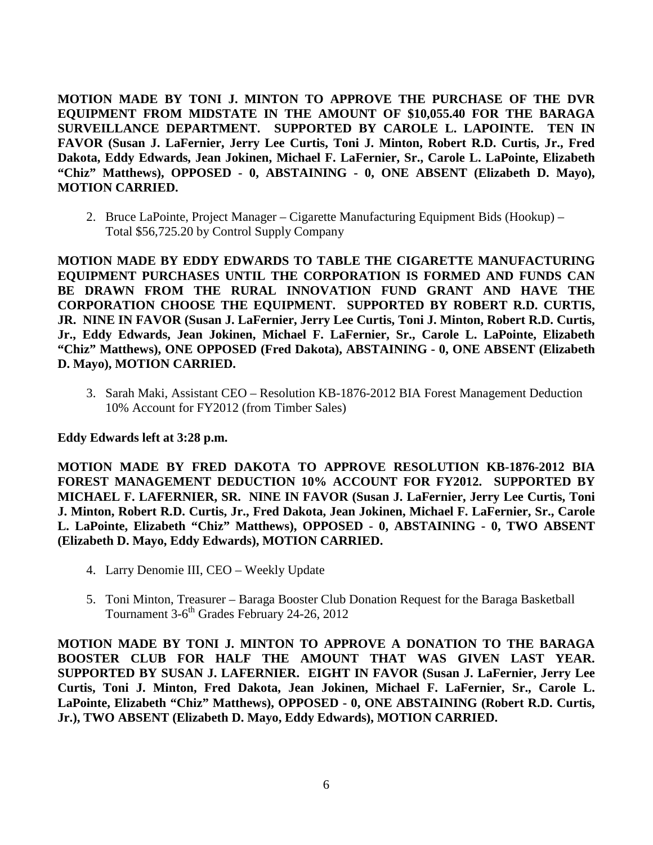**MOTION MADE BY TONI J. MINTON TO APPROVE THE PURCHASE OF THE DVR EQUIPMENT FROM MIDSTATE IN THE AMOUNT OF \$10,055.40 FOR THE BARAGA SURVEILLANCE DEPARTMENT. SUPPORTED BY CAROLE L. LAPOINTE. TEN IN FAVOR (Susan J. LaFernier, Jerry Lee Curtis, Toni J. Minton, Robert R.D. Curtis, Jr., Fred Dakota, Eddy Edwards, Jean Jokinen, Michael F. LaFernier, Sr., Carole L. LaPointe, Elizabeth "Chiz" Matthews), OPPOSED - 0, ABSTAINING - 0, ONE ABSENT (Elizabeth D. Mayo), MOTION CARRIED.**

2. Bruce LaPointe, Project Manager – Cigarette Manufacturing Equipment Bids (Hookup) – Total \$56,725.20 by Control Supply Company

**MOTION MADE BY EDDY EDWARDS TO TABLE THE CIGARETTE MANUFACTURING EQUIPMENT PURCHASES UNTIL THE CORPORATION IS FORMED AND FUNDS CAN BE DRAWN FROM THE RURAL INNOVATION FUND GRANT AND HAVE THE CORPORATION CHOOSE THE EQUIPMENT. SUPPORTED BY ROBERT R.D. CURTIS, JR. NINE IN FAVOR (Susan J. LaFernier, Jerry Lee Curtis, Toni J. Minton, Robert R.D. Curtis, Jr., Eddy Edwards, Jean Jokinen, Michael F. LaFernier, Sr., Carole L. LaPointe, Elizabeth "Chiz" Matthews), ONE OPPOSED (Fred Dakota), ABSTAINING - 0, ONE ABSENT (Elizabeth D. Mayo), MOTION CARRIED.**

3. Sarah Maki, Assistant CEO – Resolution KB-1876-2012 BIA Forest Management Deduction 10% Account for FY2012 (from Timber Sales)

## **Eddy Edwards left at 3:28 p.m.**

**MOTION MADE BY FRED DAKOTA TO APPROVE RESOLUTION KB-1876-2012 BIA FOREST MANAGEMENT DEDUCTION 10% ACCOUNT FOR FY2012. SUPPORTED BY MICHAEL F. LAFERNIER, SR. NINE IN FAVOR (Susan J. LaFernier, Jerry Lee Curtis, Toni J. Minton, Robert R.D. Curtis, Jr., Fred Dakota, Jean Jokinen, Michael F. LaFernier, Sr., Carole L. LaPointe, Elizabeth "Chiz" Matthews), OPPOSED - 0, ABSTAINING - 0, TWO ABSENT (Elizabeth D. Mayo, Eddy Edwards), MOTION CARRIED.**

- 4. Larry Denomie III, CEO Weekly Update
- 5. Toni Minton, Treasurer Baraga Booster Club Donation Request for the Baraga Basketball Tournament 3-6<sup>th</sup> Grades February 24-26, 2012

**MOTION MADE BY TONI J. MINTON TO APPROVE A DONATION TO THE BARAGA BOOSTER CLUB FOR HALF THE AMOUNT THAT WAS GIVEN LAST YEAR. SUPPORTED BY SUSAN J. LAFERNIER. EIGHT IN FAVOR (Susan J. LaFernier, Jerry Lee Curtis, Toni J. Minton, Fred Dakota, Jean Jokinen, Michael F. LaFernier, Sr., Carole L. LaPointe, Elizabeth "Chiz" Matthews), OPPOSED - 0, ONE ABSTAINING (Robert R.D. Curtis, Jr.), TWO ABSENT (Elizabeth D. Mayo, Eddy Edwards), MOTION CARRIED.**